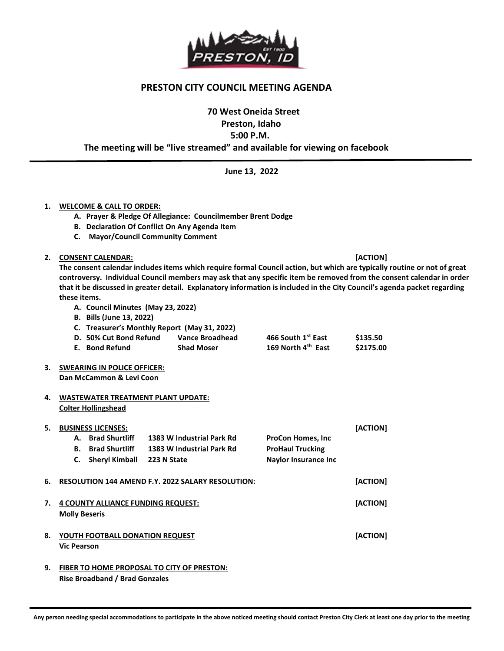

## PRESTON CITY COUNCIL MEETING AGENDA

70 West Oneida Street

Preston, Idaho

5:00 P.M.

The meeting will be "live streamed" and available for viewing on facebook

June 13, 2022

## 1. WELCOME & CALL TO ORDER:

- A. Prayer & Pledge Of Allegiance: Councilmember Brent Dodge
- B. Declaration Of Conflict On Any Agenda Item
- C. Mayor/Council Community Comment

## 2. CONSENT CALENDAR: [ACTION]

The consent calendar includes items which require formal Council action, but which are typically routine or not of great controversy. Individual Council members may ask that any specific item be removed from the consent calendar in order that it be discussed in greater detail. Explanatory information is included in the City Council's agenda packet regarding these items.

- A. Council Minutes (May 23, 2022)
- B. Bills (June 13, 2022)

#### C. Treasurer's Monthly Report (May 31, 2022)

| D.50% Cut Bond Refund | Vance Broadhead   | 466 South 1 <sup>st</sup> East | \$135.50  |
|-----------------------|-------------------|--------------------------------|-----------|
| E. Bond Refund        | <b>Shad Moser</b> | 169 North 4 <sup>th</sup> East | \$2175.00 |

3. SWEARING IN POLICE OFFICER: Dan McCammon & Levi Coon

#### 4. WASTEWATER TREATMENT PLANT UPDATE: Colter Hollingshead

# 5. BUSINESS LICENSES: [ACTION] A. Brad Shurtliff 1383 W Industrial Park Rd ProCon Homes, Inc B. Brad Shurtliff 1383 W Industrial Park Rd ProHaul Trucking C. Sheryl Kimball 223 N State Naylor Insurance Inc 6. RESOLUTION 144 AMEND F.Y. 2022 SALARY RESOLUTION: [ACTION] 7. 4 COUNTY ALLIANCE FUNDING REQUEST: The state of the state of the state of the state of the state of the state of the state of the state of the state of the state of the state of the state of the state of the state of th Molly Beseris 8. YOUTH FOOTBALL DONATION REQUEST AND RESERVE THE RESERVE TO A RESERVE THE RESERVE TO A RESERVE THE RESERVE TO Vic Pearson

9. FIBER TO HOME PROPOSAL TO CITY OF PRESTON: Rise Broadband / Brad Gonzales

j

Any person needing special accommodations to participate in the above noticed meeting should contact Preston City Clerk at least one day prior to the meeting